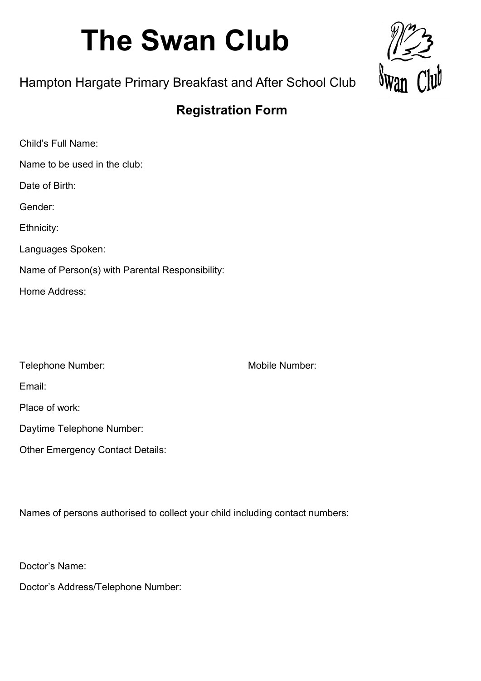# **The Swan Club**



## Hampton Hargate Primary Breakfast and After School Club

## **Registration Form**

| Child's Full Name:                              |
|-------------------------------------------------|
| Name to be used in the club:                    |
| Date of Birth:                                  |
| Gender:                                         |
| Ethnicity:                                      |
| Languages Spoken:                               |
| Name of Person(s) with Parental Responsibility: |
| Home Address:                                   |
|                                                 |

| Telephone Number: |
|-------------------|
|-------------------|

Mobile Number:

Email:

Place of work:

Daytime Telephone Number:

Other Emergency Contact Details:

Names of persons authorised to collect your child including contact numbers:

Doctor's Name:

Doctor's Address/Telephone Number: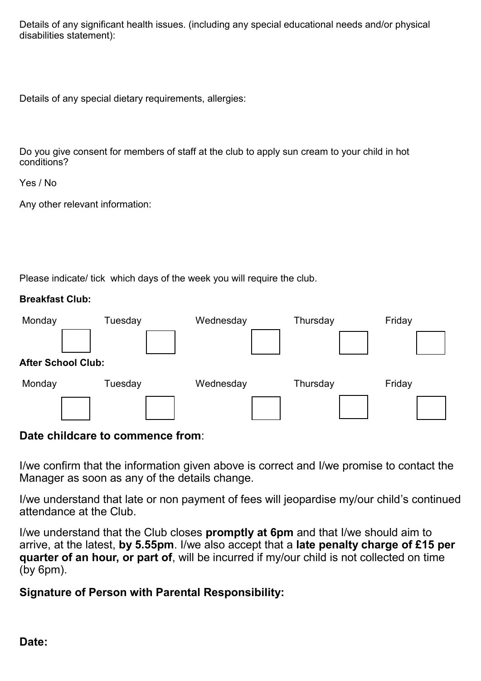Details of any significant health issues. (including any special educational needs and/or physical disabilities statement):

Details of any special dietary requirements, allergies:

Do you give consent for members of staff at the club to apply sun cream to your child in hot conditions?

Yes / No

Any other relevant information:

Please indicate/ tick which days of the week you will require the club.

#### **Breakfast Club:**

| Monday                    | Tuesday | Wednesday | Thursday | Friday |  |  |
|---------------------------|---------|-----------|----------|--------|--|--|
|                           |         |           |          |        |  |  |
| <b>After School Club:</b> |         |           |          |        |  |  |
| Monday                    | Tuesday | Wednesday | Thursday | Friday |  |  |
|                           |         |           |          |        |  |  |

#### **Date childcare to commence from**:

I/we confirm that the information given above is correct and I/we promise to contact the Manager as soon as any of the details change.

I/we understand that late or non payment of fees will jeopardise my/our child's continued attendance at the Club.

I/we understand that the Club closes **promptly at 6pm** and that I/we should aim to arrive, at the latest, **by 5.55pm**. I/we also accept that a **late penalty charge of £15 per quarter of an hour, or part of**, will be incurred if my/our child is not collected on time (by 6pm).

#### **Signature of Person with Parental Responsibility:**

#### **Date:**